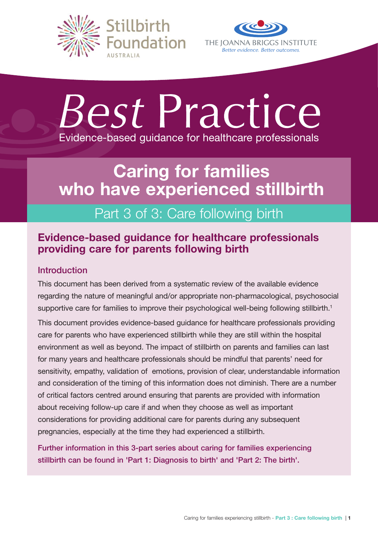



# *Best* Practice Evidence-based guidance for healthcare professionals

# Caring for families who have experienced stillbirth

# Part 3 of 3: Care following birth

# Evidence-based guidance for healthcare professionals providing care for parents following birth

# Introduction

This document has been derived from a systematic review of the available evidence regarding the nature of meaningful and/or appropriate non-pharmacological, psychosocial supportive care for families to improve their psychological well-being following stillbirth.<sup>1</sup>

This document provides evidence-based guidance for healthcare professionals providing care for parents who have experienced stillbirth while they are still within the hospital environment as well as beyond. The impact of stillbirth on parents and families can last for many years and healthcare professionals should be mindful that parents' need for sensitivity, empathy, validation of emotions, provision of clear, understandable information and consideration of the timing of this information does not diminish. There are a number of critical factors centred around ensuring that parents are provided with information about receiving follow-up care if and when they choose as well as important considerations for providing additional care for parents during any subsequent pregnancies, especially at the time they had experienced a stillbirth.

Further information in this 3-part series about caring for families experiencing stillbirth can be found in 'Part 1: Diagnosis to birth' and 'Part 2: The birth'.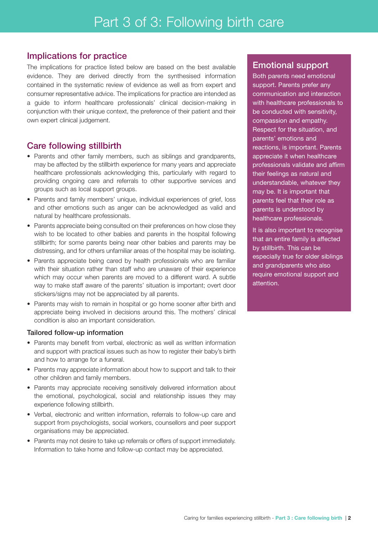# Implications for practice

The implications for practice listed below are based on the best available evidence. They are derived directly from the synthesised information contained in the systematic review of evidence as well as from expert and consumer representative advice. The implications for practice are intended as a guide to inform healthcare professionals' clinical decision-making in conjunction with their unique context, the preference of their patient and their own expert clinical judgement.

# Care following stillbirth

- Parents and other family members, such as siblings and grandparents, may be affected by the stillbirth experience for many years and appreciate healthcare professionals acknowledging this, particularly with regard to providing ongoing care and referrals to other supportive services and groups such as local support groups.
- Parents and family members' unique, individual experiences of grief, loss and other emotions such as anger can be acknowledged as valid and natural by healthcare professionals.
- Parents appreciate being consulted on their preferences on how close they wish to be located to other babies and parents in the hospital following stillbirth; for some parents being near other babies and parents may be distressing, and for others unfamiliar areas of the hospital may be isolating.
- Parents appreciate being cared by health professionals who are familiar with their situation rather than staff who are unaware of their experience which may occur when parents are moved to a different ward. A subtle way to make staff aware of the parents' situation is important; overt door stickers/signs may not be appreciated by all parents.
- Parents may wish to remain in hospital or go home sooner after birth and appreciate being involved in decisions around this. The mothers' clinical condition is also an important consideration.

#### Tailored follow-up information

- Parents may benefit from verbal, electronic as well as written information and support with practical issues such as how to register their baby's birth and how to arrange for a funeral.
- Parents may appreciate information about how to support and talk to their other children and family members.
- Parents may appreciate receiving sensitively delivered information about the emotional, psychological, social and relationship issues they may experience following stillbirth.
- Verbal, electronic and written information, referrals to follow-up care and support from psychologists, social workers, counsellors and peer support organisations may be appreciated.
- Parents may not desire to take up referrals or offers of support immediately. Information to take home and follow-up contact may be appreciated.

# Emotional support

Both parents need emotional support. Parents prefer any communication and interaction with healthcare professionals to be conducted with sensitivity, compassion and empathy. Respect for the situation, and parents' emotions and reactions, is important. Parents appreciate it when healthcare professionals validate and affirm their feelings as natural and understandable, whatever they may be. It is important that parents feel that their role as parents is understood by healthcare professionals.

It is also important to recognise that an entire family is affected by stillbirth. This can be especially true for older siblings and grandparents who also require emotional support and attention.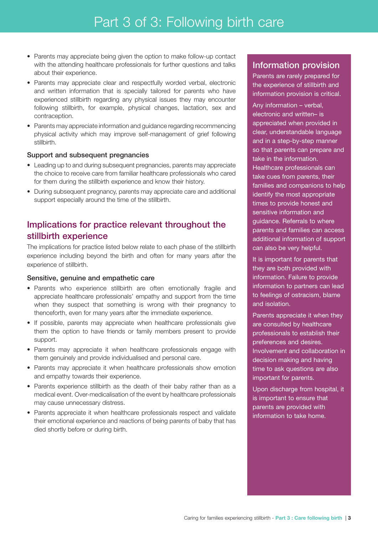- Parents may appreciate being given the option to make follow-up contact with the attending healthcare professionals for further questions and talks about their experience.
- Parents may appreciate clear and respectfully worded verbal, electronic and written information that is specially tailored for parents who have experienced stillbirth regarding any physical issues they may encounter following stillbirth, for example, physical changes, lactation, sex and contraception.
- Parents may appreciate information and guidance regarding recommencing physical activity which may improve self-management of grief following stillbirth.

#### Support and subsequent pregnancies

- Leading up to and during subsequent pregnancies, parents may appreciate the choice to receive care from familiar healthcare professionals who cared for them during the stillbirth experience and know their history.
- During subsequent pregnancy, parents may appreciate care and additional support especially around the time of the stillbirth.

# Implications for practice relevant throughout the stillbirth experience

The implications for practice listed below relate to each phase of the stillbirth experience including beyond the birth and often for many years after the experience of stillbirth.

#### Sensitive, genuine and empathetic care

- Parents who experience stillbirth are often emotionally fragile and appreciate healthcare professionals' empathy and support from the time when they suspect that something is wrong with their pregnancy to thenceforth, even for many years after the immediate experience.
- If possible, parents may appreciate when healthcare professionals give them the option to have friends or family members present to provide support.
- Parents may appreciate it when healthcare professionals engage with them genuinely and provide individualised and personal care.
- Parents may appreciate it when healthcare professionals show emotion and empathy towards their experience.
- Parents experience stillbirth as the death of their baby rather than as a medical event. Over-medicalisation of the event by healthcare professionals may cause unnecessary distress.
- Parents appreciate it when healthcare professionals respect and validate their emotional experience and reactions of being parents of baby that has died shortly before or during birth.

# Information provision

Parents are rarely prepared for the experience of stillbirth and information provision is critical.

Any information – verbal, electronic and written– is appreciated when provided in clear, understandable language and in a step-by-step manner so that parents can prepare and take in the information. Healthcare professionals can take cues from parents, their families and companions to help identify the most appropriate times to provide honest and sensitive information and guidance. Referrals to where parents and families can access additional information of support can also be very helpful.

It is important for parents that they are both provided with information. Failure to provide information to partners can lead to feelings of ostracism, blame and isolation.

Parents appreciate it when they are consulted by healthcare professionals to establish their preferences and desires. Involvement and collaboration in decision making and having time to ask questions are also important for parents.

Upon discharge from hospital, it is important to ensure that parents are provided with information to take home.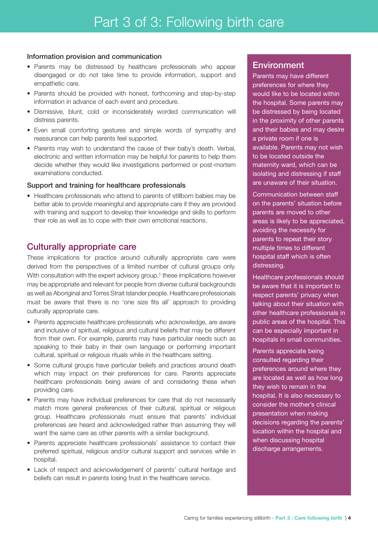#### Information provision and communication

- Parents may be distressed by healthcare professionals who appear disengaged or do not take time to provide information, support and empathetic care.
- Parents should be provided with honest, forthcoming and step-by-step information in advance of each event and procedure.
- Dismissive, blunt, cold or inconsiderately worded communication will distress parents.
- Even small comforting gestures and simple words of sympathy and reassurance can help parents feel supported.
- Parents may wish to understand the cause of their baby's death. Verbal, electronic and written information may be helpful for parents to help them decide whether they would like investigations performed or post-mortem examinations conducted.

#### Support and training for healthcare professionals

• Healthcare professionals who attend to parents of stillborn babies may be better able to provide meaningful and appropriate care if they are provided with training and support to develop their knowledge and skills to perform their role as well as to cope with their own emotional reactions.

# Culturally appropriate care

These implications for practice around culturally appropriate care were derived from the perspectives of a limited number of cultural groups only. With consultation with the expert advisory group,<sup>†</sup> these implications however may be appropriate and relevant for people from diverse cultural backgrounds as well as Aboriginal and Torres Strait Islander people. Healthcare professionals must be aware that there is no 'one size fits all' approach to providing culturally appropriate care.

- Parents appreciate healthcare professionals who acknowledge, are aware and inclusive of spiritual, religious and cultural beliefs that may be different from their own. For example, parents may have particular needs such as speaking to their baby in their own language or performing important cultural, spiritual or religious rituals while in the healthcare setting.
- Some cultural groups have particular beliefs and practices around death which may impact on their preferences for care. Parents appreciate healthcare professionals being aware of and considering these when providing care.
- Parents may have individual preferences for care that do not necessarily match more general preferences of their cultural, spiritual or religious group. Healthcare professionals must ensure that parents' individual preferences are heard and acknowledged rather than assuming they will want the same care as other parents with a similar background.
- Parents appreciate healthcare professionals' assistance to contact their preferred spiritual, religious and/or cultural support and services while in hospital.
- Lack of respect and acknowledgement of parents' cultural heritage and beliefs can result in parents losing trust in the healthcare service.

# **Environment**

Parents may have different preferences for where they would like to be located within the hospital. Some parents may be distressed by being located in the proximity of other parents and their babies and may desire a private room if one is available. Parents may not wish to be located outside the maternity ward, which can be isolating and distressing if staff are unaware of their situation.

Communication between staff on the parents' situation before parents are moved to other areas is likely to be appreciated, avoiding the necessity for parents to repeat their story multiple times to different hospital staff which is often distressing.

Healthcare professionals should be aware that it is important to respect parents' privacy when talking about their situation with other healthcare professionals in public areas of the hospital. This can be especially important in hospitals in small communities.

Parents appreciate being consulted regarding their preferences around where they are located as well as how long they wish to remain in the hospital. It is also necessary to consider the mother's clinical presentation when making decisions regarding the parents' location within the hospital and when discussing hospital discharge arrangements.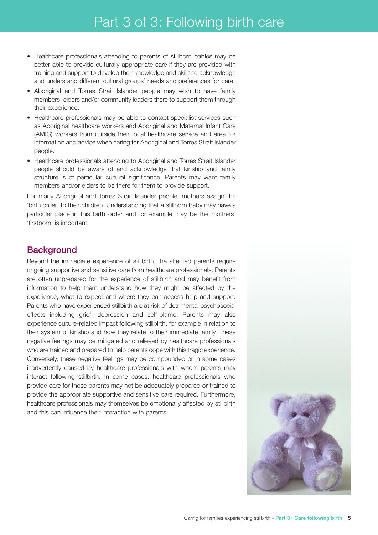- Healthcare professionals attending to parents of stillborn babies may be better able to provide culturally appropriate care if they are provided with training and support to develop their knowledge and skills to acknowledge and understand different cultural groups' needs and preferences for care.
- Aboriginal and Torres Strait Islander people may wish to have family members, elders and/or community leaders there to support them through their experience.
- Healthcare professionals may be able to contact specialist services such as Aboriginal healthcare workers and Aboriginal and Maternal Infant Care (AMIC) workers from outside their local healthcare service and area for information and advice when caring for Aboriginal and Torres Strait Islander people.
- Healthcare professionals attending to Aboriginal and Torres Strait Islander people should be aware of and acknowledge that kinship and family structure is of particular cultural significance. Parents may want family members and/or elders to be there for them to provide support.

For many Aboriginal and Torres Strait Islander people, mothers assign the 'birth order' to their children. Understanding that a stillborn baby may have a particular place in this birth order and for example may be the mothers' 'firstborn' is important.

### **Background**

Beyond the immediate experience of stillbirth, the affected parents require ongoing supportive and sensitive care from healthcare professionals. Parents are often unprepared for the experience of stillbirth and may benefit from information to help them understand how they might be affected by the experience, what to expect and where they can access help and support. Parents who have experienced stillbirth are at risk of detrimental psychosocial effects including grief, depression and self-blame. Parents may also experience culture-related impact following stillbirth, for example in relation to their system of kinship and how they relate to their immediate family. These negative feelings may be mitigated and relieved by healthcare professionals who are trained and prepared to help parents cope with this tragic experience. Conversely, these negative feelings may be compounded or in some cases inadvertently caused by healthcare professionals with whom parents may interact following stillbirth. In some cases, healthcare professionals who provide care for these parents may not be adequately prepared or trained to provide the appropriate supportive and sensitive care required. Furthermore, healthcare professionals may themselves be emotionally affected by stillbirth and this can influence their interaction with parents.

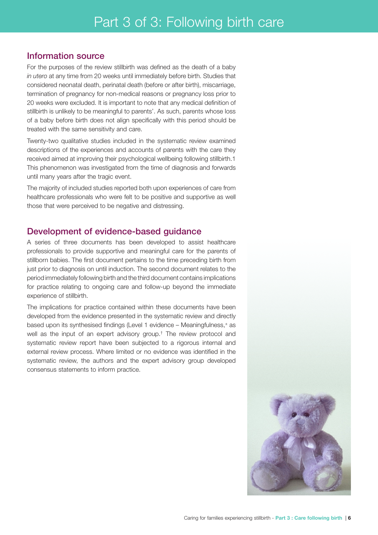# Information source

For the purposes of the review stillbirth was defined as the death of a baby *in utero* at any time from 20 weeks until immediately before birth. Studies that considered neonatal death, perinatal death (before or after birth), miscarriage, termination of pregnancy for non-medical reasons or pregnancy loss prior to 20 weeks were excluded. It is important to note that any medical definition of stillbirth is unlikely to be meaningful to parents'. As such, parents whose loss of a baby before birth does not align specifically with this period should be treated with the same sensitivity and care.

Twenty-two qualitative studies included in the systematic review examined descriptions of the experiences and accounts of parents with the care they received aimed at improving their psychological wellbeing following stillbirth.1 This phenomenon was investigated from the time of diagnosis and forwards until many years after the tragic event.

The majority of included studies reported both upon experiences of care from healthcare professionals who were felt to be positive and supportive as well those that were perceived to be negative and distressing.

### Development of evidence-based guidance

A series of three documents has been developed to assist healthcare professionals to provide supportive and meaningful care for the parents of stillborn babies. The first document pertains to the time preceding birth from just prior to diagnosis on until induction. The second document relates to the period immediately following birth and the third document contains implications for practice relating to ongoing care and follow-up beyond the immediate experience of stillbirth.

The implications for practice contained within these documents have been developed from the evidence presented in the systematic review and directly based upon its synthesised findings (Level 1 evidence – Meaningfulness,<sup>±</sup> as well as the input of an expert advisory group.† The review protocol and systematic review report have been subjected to a rigorous internal and external review process. Where limited or no evidence was identified in the systematic review, the authors and the expert advisory group developed consensus statements to inform practice.